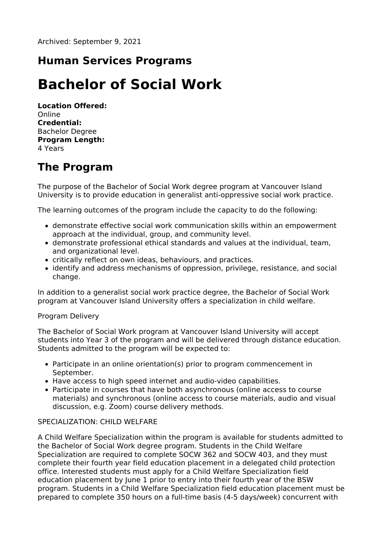# **Human Services Programs**

# **Bachelor of Social Work**

**Location Offered:** Online **Credential:** Bachelor Degree **Program Length:** 4 Years

# **The Program**

The purpose of the Bachelor of Social Work degree program at Vancouver Island University is to provide education in generalist anti-oppressive social work practice.

The learning outcomes of the program include the capacity to do the following:

- demonstrate effective social work communication skills within an empowerment approach at the individual, group, and community level.
- demonstrate professional ethical standards and values at the individual, team, and organizational level.
- critically reflect on own ideas, behaviours, and practices.
- identify and address mechanisms of oppression, privilege, resistance, and social change.

In addition to a generalist social work practice degree, the Bachelor of Social Work program at Vancouver Island University offers a specialization in child welfare.

### Program Delivery

The Bachelor of Social Work program at Vancouver Island University will accept students into Year 3 of the program and will be delivered through distance education. Students admitted to the program will be expected to:

- Participate in an online orientation(s) prior to program commencement in September.
- Have access to high speed internet and audio-video capabilities.
- Participate in courses that have both asynchronous (online access to course materials) and synchronous (online access to course materials, audio and visual discussion, e.g. Zoom) course delivery methods.

### SPECIALIZATION: CHILD WELFARE

A Child Welfare Specialization within the program is available for students admitted to the Bachelor of Social Work degree program. Students in the Child Welfare Specialization are required to complete SOCW 362 and SOCW 403, and they must complete their fourth year field education placement in a delegated child protection office. Interested students must apply for a Child Welfare Specialization field education placement by June 1 prior to entry into their fourth year of the BSW program. Students in a Child Welfare Specialization field education placement must be prepared to complete 350 hours on a full-time basis (4-5 days/week) concurrent with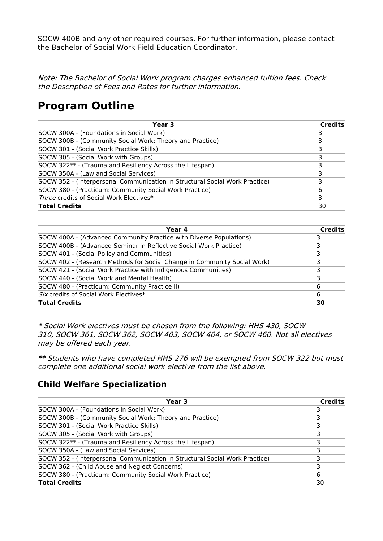SOCW 400B and any other required courses. For further information, please contact the Bachelor of Social Work Field Education Coordinator.

Note: The Bachelor of Social Work program charges enhanced tuition fees. Check the Description of Fees and Rates for further information.

## **Program Outline**

| Year 3                                                                      | <b>Credits</b> |
|-----------------------------------------------------------------------------|----------------|
| SOCW 300A - (Foundations in Social Work)                                    |                |
| SOCW 300B - (Community Social Work: Theory and Practice)                    | 3              |
| SOCW 301 - (Social Work Practice Skills)                                    | 3              |
| SOCW 305 - (Social Work with Groups)                                        | 3              |
| SOCW 322** - (Trauma and Resiliency Across the Lifespan)                    | 3              |
| SOCW 350A - (Law and Social Services)                                       | 3              |
| SOCW 352 - (Interpersonal Communication in Structural Social Work Practice) | 3              |
| SOCW 380 - (Practicum: Community Social Work Practice)                      | 6              |
| <i>Three</i> credits of Social Work Electives*                              | 3              |
| <b>Total Credits</b>                                                        | 30             |

| Year 4                                                                   | <b>Credits</b> |
|--------------------------------------------------------------------------|----------------|
| SOCW 400A - (Advanced Community Practice with Diverse Populations)       |                |
| SOCW 400B - (Advanced Seminar in Reflective Social Work Practice)        |                |
| SOCW 401 - (Social Policy and Communities)                               |                |
| SOCW 402 - (Research Methods for Social Change in Community Social Work) |                |
| SOCW 421 - (Social Work Practice with Indigenous Communities)            |                |
| SOCW 440 - (Social Work and Mental Health)                               |                |
| SOCW 480 - (Practicum: Community Practice II)                            | 6              |
| Six credits of Social Work Electives*                                    | 6              |
| <b>Total Credits</b>                                                     | 30             |

**\*** Social Work electives must be chosen from the following: HHS 430, SOCW 310, SOCW 361, SOCW 362, SOCW 403, SOCW 404, or SOCW 460. Not all electives may be offered each year.

**\*\*** Students who have completed HHS 276 will be exempted from SOCW 322 but must complete one additional social work elective from the list above.

### **Child Welfare Specialization**

| Year 3                                                                      | <b>Credits</b> |
|-----------------------------------------------------------------------------|----------------|
| SOCW 300A - (Foundations in Social Work)                                    |                |
| SOCW 300B - (Community Social Work: Theory and Practice)                    |                |
| SOCW 301 - (Social Work Practice Skills)                                    |                |
| SOCW 305 - (Social Work with Groups)                                        |                |
| SOCW 322** - (Trauma and Resiliency Across the Lifespan)                    |                |
| SOCW 350A - (Law and Social Services)                                       |                |
| SOCW 352 - (Interpersonal Communication in Structural Social Work Practice) |                |
| SOCW 362 - (Child Abuse and Neglect Concerns)                               |                |
| SOCW 380 - (Practicum: Community Social Work Practice)                      | 6              |
| <b>Total Credits</b>                                                        | 30             |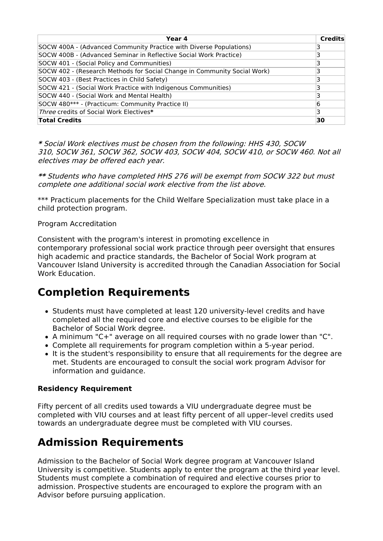| Year 4                                                                   | <b>Credits</b> |
|--------------------------------------------------------------------------|----------------|
| SOCW 400A - (Advanced Community Practice with Diverse Populations)       |                |
| SOCW 400B - (Advanced Seminar in Reflective Social Work Practice)        |                |
| SOCW 401 - (Social Policy and Communities)                               |                |
| SOCW 402 - (Research Methods for Social Change in Community Social Work) |                |
| SOCW 403 - (Best Practices in Child Safety)                              |                |
| SOCW 421 - (Social Work Practice with Indigenous Communities)            |                |
| SOCW 440 - (Social Work and Mental Health)                               |                |
| SOCW 480*** - (Practicum: Community Practice II)                         | 6              |
| Three credits of Social Work Electives*                                  |                |
| <b>Total Credits</b>                                                     | 30             |

**\*** Social Work electives must be chosen from the following: HHS 430, SOCW 310, SOCW 361, SOCW 362, SOCW 403, SOCW 404, SOCW 410, or SOCW 460. Not all electives may be offered each year.

**\*\*** Students who have completed HHS 276 will be exempt from SOCW 322 but must complete one additional social work elective from the list above.

\*\*\* Practicum placements for the Child Welfare Specialization must take place in a child protection program.

#### Program Accreditation

Consistent with the program's interest in promoting excellence in contemporary professional social work practice through peer oversight that ensures high academic and practice standards, the Bachelor of Social Work program at Vancouver Island University is accredited through the Canadian Association for Social Work Education.

### **Completion Requirements**

- Students must have completed at least 120 university-level credits and have completed all the required core and elective courses to be eligible for the Bachelor of Social Work degree.
- A minimum "C+" average on all required courses with no grade lower than "C".
- Complete all requirements for program completion within a 5-year period.
- It is the student's responsibility to ensure that all requirements for the degree are met. Students are encouraged to consult the social work program Advisor for information and guidance.

### **Residency Requirement**

Fifty percent of all credits used towards a VIU undergraduate degree must be completed with VIU courses and at least fifty percent of all upper–level credits used towards an undergraduate degree must be completed with VIU courses.

# **Admission Requirements**

Admission to the Bachelor of Social Work degree program at Vancouver Island University is competitive. Students apply to enter the program at the third year level. Students must complete a combination of required and elective courses prior to admission. Prospective students are encouraged to explore the program with an Advisor before pursuing application.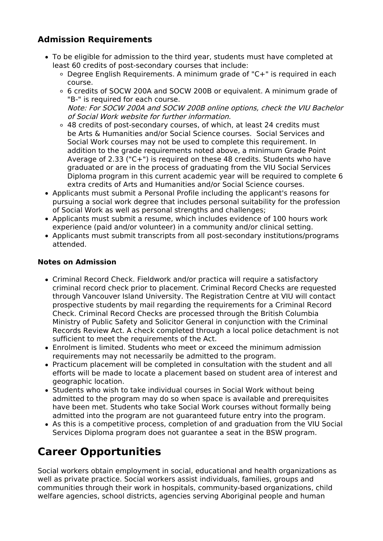### **Admission Requirements**

- To be eligible for admission to the third year, students must have completed at least 60 credits of post-secondary courses that include:
	- Degree English Requirements. A minimum grade of "C+" is required in each course.
	- 6 credits of SOCW 200A and SOCW 200B or equivalent. A minimum grade of "B-" is required for each course.

Note: For SOCW 200A and SOCW 200B online options, check the VIU Bachelor of Social Work website for further information.

- 48 credits of post-secondary courses, of which, at least 24 credits must be Arts & Humanities and/or Social Science courses. Social Services and Social Work courses may not be used to complete this requirement. In addition to the grade requirements noted above, a minimum Grade Point Average of 2.33 ("C+") is required on these 48 credits. Students who have graduated or are in the process of graduating from the VIU Social Services Diploma program in this current academic year will be required to complete 6 extra credits of Arts and Humanities and/or Social Science courses.
- Applicants must submit a Personal Profile including the applicant's reasons for pursuing a social work degree that includes personal suitability for the profession of Social Work as well as personal strengths and challenges;
- Applicants must submit a resume, which includes evidence of 100 hours work experience (paid and/or volunteer) in a community and/or clinical setting.
- Applicants must submit transcripts from all post-secondary institutions/programs attended.

### **Notes on Admission**

- Criminal Record Check. Fieldwork and/or practica will require a satisfactory criminal record check prior to placement. Criminal Record Checks are requested through Vancouver Island University. The Registration Centre at VIU will contact prospective students by mail regarding the requirements for a Criminal Record Check. Criminal Record Checks are processed through the British Columbia Ministry of Public Safety and Solicitor General in conjunction with the Criminal Records Review Act. A check completed through a local police detachment is not sufficient to meet the requirements of the Act.
- Enrolment is limited. Students who meet or exceed the minimum admission requirements may not necessarily be admitted to the program.
- Practicum placement will be completed in consultation with the student and all efforts will be made to locate a placement based on student area of interest and geographic location.
- Students who wish to take individual courses in Social Work without being admitted to the program may do so when space is available and prerequisites have been met. Students who take Social Work courses without formally being admitted into the program are not guaranteed future entry into the program.
- As this is a competitive process, completion of and graduation from the VIU Social Services Diploma program does not guarantee a seat in the BSW program.

# **Career Opportunities**

Social workers obtain employment in social, educational and health organizations as well as private practice. Social workers assist individuals, families, groups and communities through their work in hospitals, community-based organizations, child welfare agencies, school districts, agencies serving Aboriginal people and human